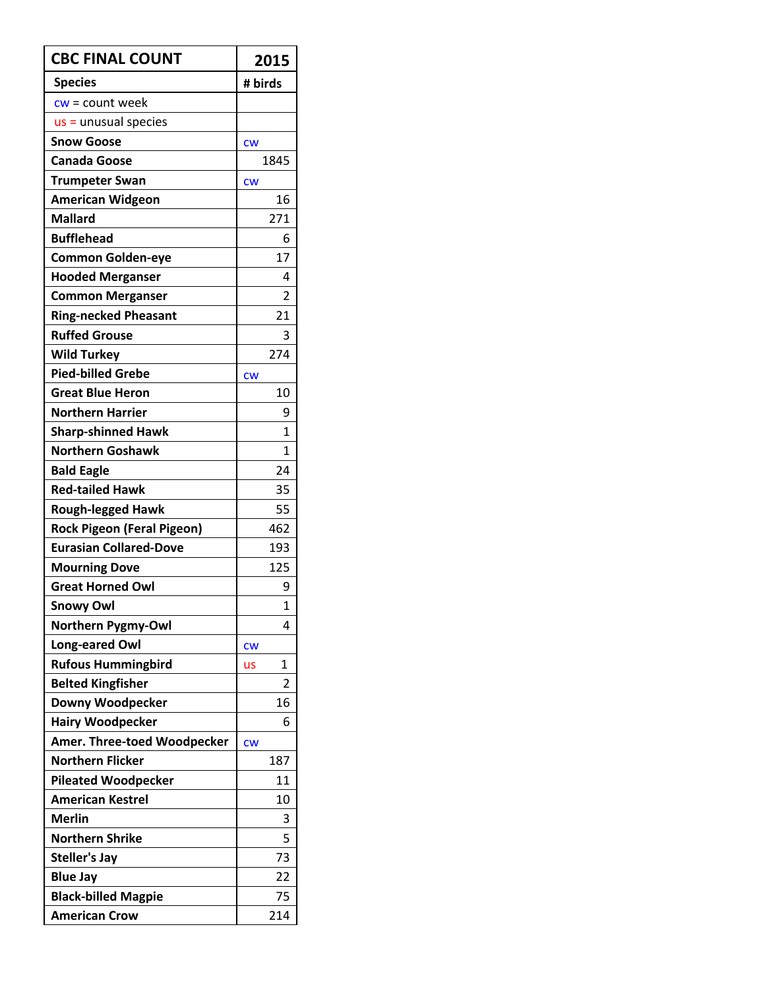| <b>CBC FINAL COUNT</b>            | 2015           |
|-----------------------------------|----------------|
| <b>Species</b>                    | # birds        |
| $cw = count week$                 |                |
| $us =$ unusual species            |                |
| <b>Snow Goose</b>                 | CW             |
| <b>Canada Goose</b>               | 1845           |
| <b>Trumpeter Swan</b>             | <b>CW</b>      |
| <b>American Widgeon</b>           | 16             |
| <b>Mallard</b>                    | 271            |
| <b>Bufflehead</b>                 | 6              |
| <b>Common Golden-eye</b>          | 17             |
| <b>Hooded Merganser</b>           | 4              |
| <b>Common Merganser</b>           | $\overline{2}$ |
| <b>Ring-necked Pheasant</b>       | 21             |
| <b>Ruffed Grouse</b>              | 3              |
| <b>Wild Turkey</b>                | 274            |
| <b>Pied-billed Grebe</b>          | <b>CW</b>      |
| <b>Great Blue Heron</b>           | 10             |
| <b>Northern Harrier</b>           | 9              |
| <b>Sharp-shinned Hawk</b>         | 1              |
| <b>Northern Goshawk</b>           | 1              |
| <b>Bald Eagle</b>                 | 24             |
| <b>Red-tailed Hawk</b>            | 35             |
| <b>Rough-legged Hawk</b>          | 55             |
| <b>Rock Pigeon (Feral Pigeon)</b> | 462            |
| <b>Eurasian Collared-Dove</b>     | 193            |
| <b>Mourning Dove</b>              | 125            |
| <b>Great Horned Owl</b>           | 9              |
| <b>Snowy Owl</b>                  | $\mathbf{1}$   |
| <b>Northern Pygmy-Owl</b>         | 4              |
| <b>Long-eared Owl</b>             | <b>CW</b>      |
| <b>Rufous Hummingbird</b>         | 1<br>us        |
| <b>Belted Kingfisher</b>          | 2              |
| Downy Woodpecker                  | 16             |
| <b>Hairy Woodpecker</b>           | 6              |
| Amer. Three-toed Woodpecker       | <b>CW</b>      |
| <b>Northern Flicker</b>           | 187            |
| <b>Pileated Woodpecker</b>        | 11             |
| <b>American Kestrel</b>           | 10             |
| <b>Merlin</b>                     | 3              |
| <b>Northern Shrike</b>            | 5              |
| <b>Steller's Jay</b>              | 73             |
| <b>Blue Jay</b>                   | 22             |
| <b>Black-billed Magpie</b>        | 75             |
| <b>American Crow</b>              | 214            |